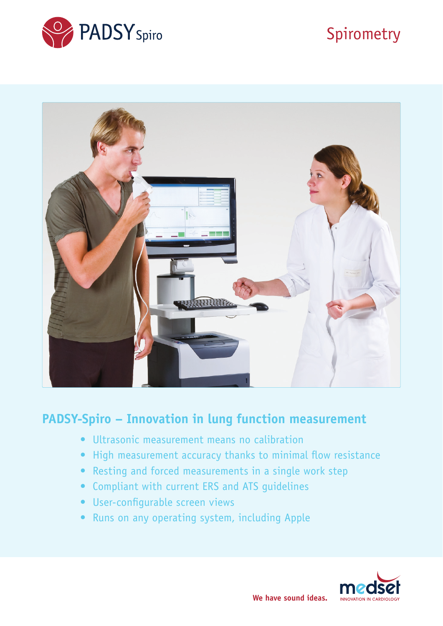

# Spirometry



## **PADSY-Spiro – Innovation in lung function measurement**

- Ultrasonic measurement means no calibration
- High measurement accuracy thanks to minimal flow resistance
- Resting and forced measurements in a single work step
- Compliant with current ERS and ATS guidelines
- User-configurable screen views
- Runs on any operating system, including Apple